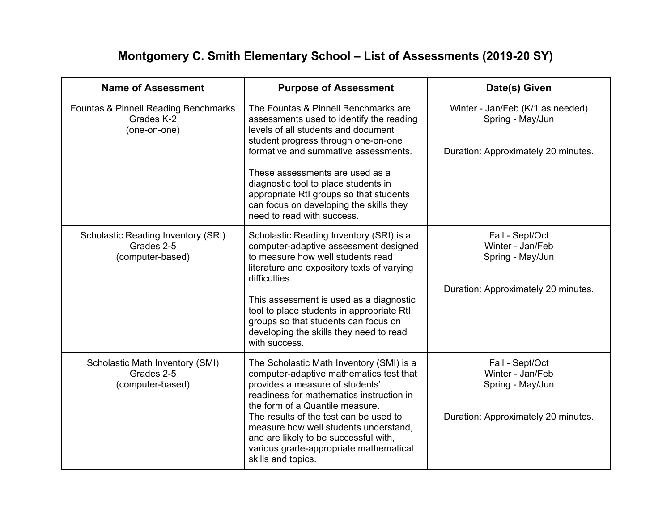## **Montgomery C. Smith Elementary School – List of Assessments (2019-20 SY)**

| <b>Name of Assessment</b>                                                     | <b>Purpose of Assessment</b>                                                                                                                                                                                                                                                                                                                                                                          | Date(s) Given                                                                                  |
|-------------------------------------------------------------------------------|-------------------------------------------------------------------------------------------------------------------------------------------------------------------------------------------------------------------------------------------------------------------------------------------------------------------------------------------------------------------------------------------------------|------------------------------------------------------------------------------------------------|
| <b>Fountas &amp; Pinnell Reading Benchmarks</b><br>Grades K-2<br>(one-on-one) | The Fountas & Pinnell Benchmarks are<br>assessments used to identify the reading<br>levels of all students and document<br>student progress through one-on-one<br>formative and summative assessments.<br>These assessments are used as a<br>diagnostic tool to place students in<br>appropriate RtI groups so that students<br>can focus on developing the skills they<br>need to read with success. | Winter - Jan/Feb (K/1 as needed)<br>Spring - May/Jun<br>Duration: Approximately 20 minutes.    |
| <b>Scholastic Reading Inventory (SRI)</b><br>Grades 2-5<br>(computer-based)   | Scholastic Reading Inventory (SRI) is a<br>computer-adaptive assessment designed<br>to measure how well students read<br>literature and expository texts of varying<br>difficulties.<br>This assessment is used as a diagnostic<br>tool to place students in appropriate RtI<br>groups so that students can focus on<br>developing the skills they need to read<br>with success.                      | Fall - Sept/Oct<br>Winter - Jan/Feb<br>Spring - May/Jun<br>Duration: Approximately 20 minutes. |
| Scholastic Math Inventory (SMI)<br>Grades 2-5<br>(computer-based)             | The Scholastic Math Inventory (SMI) is a<br>computer-adaptive mathematics test that<br>provides a measure of students'<br>readiness for mathematics instruction in<br>the form of a Quantile measure.<br>The results of the test can be used to<br>measure how well students understand,<br>and are likely to be successful with,<br>various grade-appropriate mathematical<br>skills and topics.     | Fall - Sept/Oct<br>Winter - Jan/Feb<br>Spring - May/Jun<br>Duration: Approximately 20 minutes. |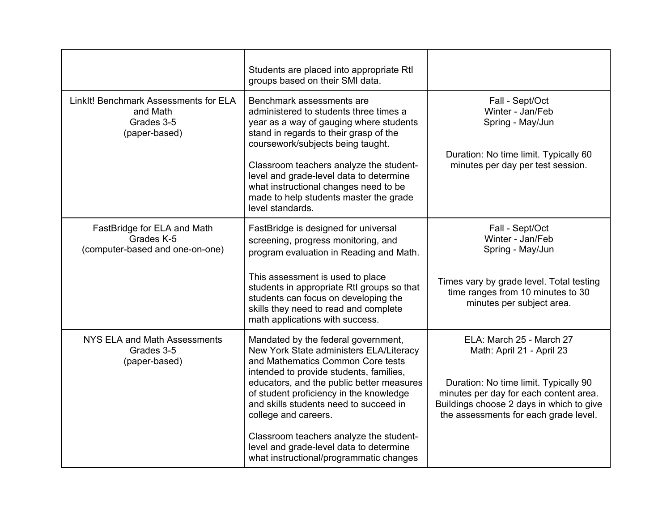|                                                                                  | Students are placed into appropriate RtI<br>groups based on their SMI data.                                                                                                                                                                                                                                                                                                                                                                               |                                                                                                                                                                                                                               |
|----------------------------------------------------------------------------------|-----------------------------------------------------------------------------------------------------------------------------------------------------------------------------------------------------------------------------------------------------------------------------------------------------------------------------------------------------------------------------------------------------------------------------------------------------------|-------------------------------------------------------------------------------------------------------------------------------------------------------------------------------------------------------------------------------|
| Linklt! Benchmark Assessments for ELA<br>and Math<br>Grades 3-5<br>(paper-based) | Benchmark assessments are<br>administered to students three times a<br>year as a way of gauging where students<br>stand in regards to their grasp of the<br>coursework/subjects being taught.<br>Classroom teachers analyze the student-<br>level and grade-level data to determine<br>what instructional changes need to be<br>made to help students master the grade<br>level standards.                                                                | Fall - Sept/Oct<br>Winter - Jan/Feb<br>Spring - May/Jun<br>Duration: No time limit. Typically 60<br>minutes per day per test session.                                                                                         |
| FastBridge for ELA and Math<br>Grades K-5<br>(computer-based and one-on-one)     | FastBridge is designed for universal<br>screening, progress monitoring, and<br>program evaluation in Reading and Math.<br>This assessment is used to place<br>students in appropriate RtI groups so that<br>students can focus on developing the<br>skills they need to read and complete<br>math applications with success.                                                                                                                              | Fall - Sept/Oct<br>Winter - Jan/Feb<br>Spring - May/Jun<br>Times vary by grade level. Total testing<br>time ranges from 10 minutes to 30<br>minutes per subject area.                                                         |
| NYS ELA and Math Assessments<br>Grades 3-5<br>(paper-based)                      | Mandated by the federal government,<br>New York State administers ELA/Literacy<br>and Mathematics Common Core tests<br>intended to provide students, families,<br>educators, and the public better measures<br>of student proficiency in the knowledge<br>and skills students need to succeed in<br>college and careers.<br>Classroom teachers analyze the student-<br>level and grade-level data to determine<br>what instructional/programmatic changes | ELA: March 25 - March 27<br>Math: April 21 - April 23<br>Duration: No time limit. Typically 90<br>minutes per day for each content area.<br>Buildings choose 2 days in which to give<br>the assessments for each grade level. |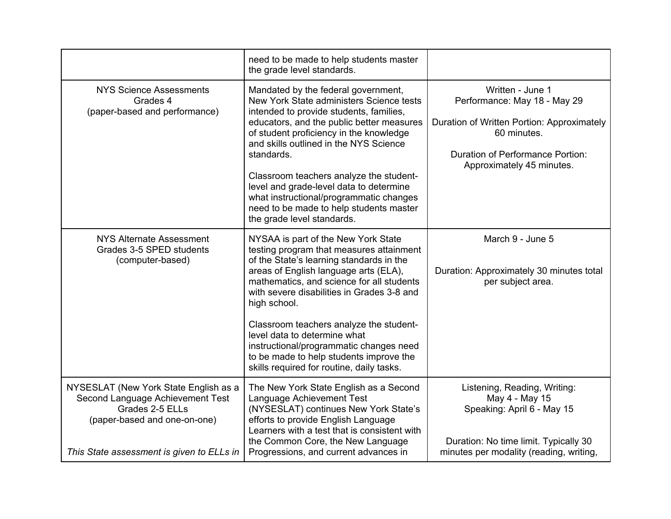|                                                                                                                                                                           | need to be made to help students master<br>the grade level standards.                                                                                                                                                                                                                                                                                                                                                                                                                         |                                                                                                                                                                                       |
|---------------------------------------------------------------------------------------------------------------------------------------------------------------------------|-----------------------------------------------------------------------------------------------------------------------------------------------------------------------------------------------------------------------------------------------------------------------------------------------------------------------------------------------------------------------------------------------------------------------------------------------------------------------------------------------|---------------------------------------------------------------------------------------------------------------------------------------------------------------------------------------|
| <b>NYS Science Assessments</b><br>Grades 4<br>(paper-based and performance)                                                                                               | Mandated by the federal government,<br>New York State administers Science tests<br>intended to provide students, families,<br>educators, and the public better measures<br>of student proficiency in the knowledge<br>and skills outlined in the NYS Science<br>standards.<br>Classroom teachers analyze the student-<br>level and grade-level data to determine<br>what instructional/programmatic changes<br>need to be made to help students master<br>the grade level standards.          | Written - June 1<br>Performance: May 18 - May 29<br>Duration of Written Portion: Approximately<br>60 minutes.<br><b>Duration of Performance Portion:</b><br>Approximately 45 minutes. |
| <b>NYS Alternate Assessment</b><br>Grades 3-5 SPED students<br>(computer-based)                                                                                           | NYSAA is part of the New York State<br>testing program that measures attainment<br>of the State's learning standards in the<br>areas of English language arts (ELA),<br>mathematics, and science for all students<br>with severe disabilities in Grades 3-8 and<br>high school.<br>Classroom teachers analyze the student-<br>level data to determine what<br>instructional/programmatic changes need<br>to be made to help students improve the<br>skills required for routine, daily tasks. | March 9 - June 5<br>Duration: Approximately 30 minutes total<br>per subject area.                                                                                                     |
| NYSESLAT (New York State English as a<br>Second Language Achievement Test<br>Grades 2-5 ELLs<br>(paper-based and one-on-one)<br>This State assessment is given to ELLs in | The New York State English as a Second<br>Language Achievement Test<br>(NYSESLAT) continues New York State's<br>efforts to provide English Language<br>Learners with a test that is consistent with<br>the Common Core, the New Language<br>Progressions, and current advances in                                                                                                                                                                                                             | Listening, Reading, Writing:<br>May 4 - May 15<br>Speaking: April 6 - May 15<br>Duration: No time limit. Typically 30<br>minutes per modality (reading, writing,                      |